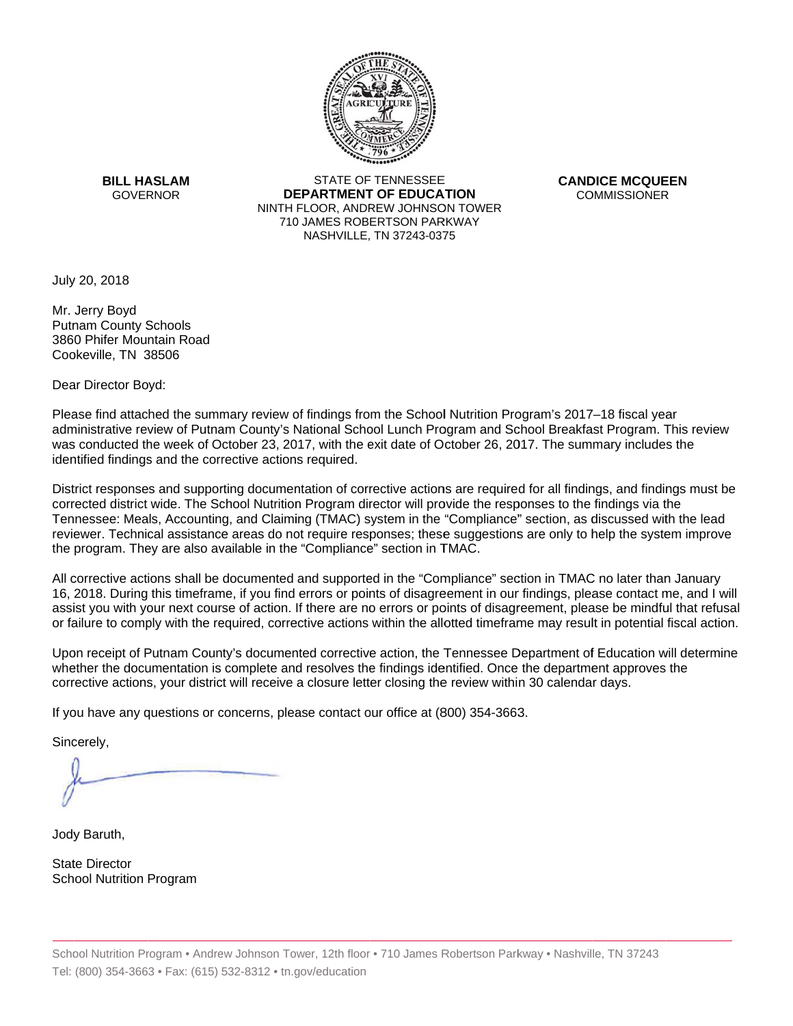

**BILL HASLAM** GOVERNOR **DEI** 

STATE OF TENNESSEE **EPARTMENT OF EDUCATION** NINTH FLOOR, ANDREW JOHNSON TOWER 710 JAMES ROBERTSON PARKWAY NASHVILLE,TN 37243-0375

**CANDICE MCQUEEN** CO OMMISSIONER

July 20, 2018

Mr. Jerry Boyd Putnam County Schools 3860 Phifer Mountain Road Cookeville, TN 38506

Dear Director Boyd:

Please find attached the summary review of findings from the School Nutrition Program's 2017–18 fiscal year administrative review of Putnam County's National School Lunch Program and School Breakfast Program. This review was conducted the week of October 23, 2017, with the exit date of October 26, 2017. The summary includes the identified findings and the corrective actions required.

Tennessee: Meals, Accounting, and Claiming (TMAC) system in the "Compliance" section, as discussed with the lead District responses and supporting documentation of corrective actions are required for all findings, and findings must be corrected district wide. The School Nutrition Program director will provide the responses to the findings via the reviewer. Technical assistance areas do not require responses; these suggestions are only to help the system improve the program. They are also available in the "Compliance" section in TMAC.

All corrective actions shall be documented and supported in the "Compliance" section in TMAC no later than January 16, 2018. During this timeframe, if you find errors or points of disagreement in our findings, please contact me, and I will assist you with your next course of action. If there are no errors or points of disagreement, please be mindful that refusal or failure to comply with the required, corrective actions within the allotted timeframe may result in potential fiscal action.

Upon receipt of Putnam County's documented corrective action, the Tennessee Department of Education will determine whether the documentation is complete and resolves the findings identified. Once the department approves the corrective actions, your district will receive a closure letter closing the review within 30 calendar days.

If you have any questions or concerns, please contact our office at (800) 354-3663.

Sincerely,

Jody Baruth,

State Director School Nutrition Program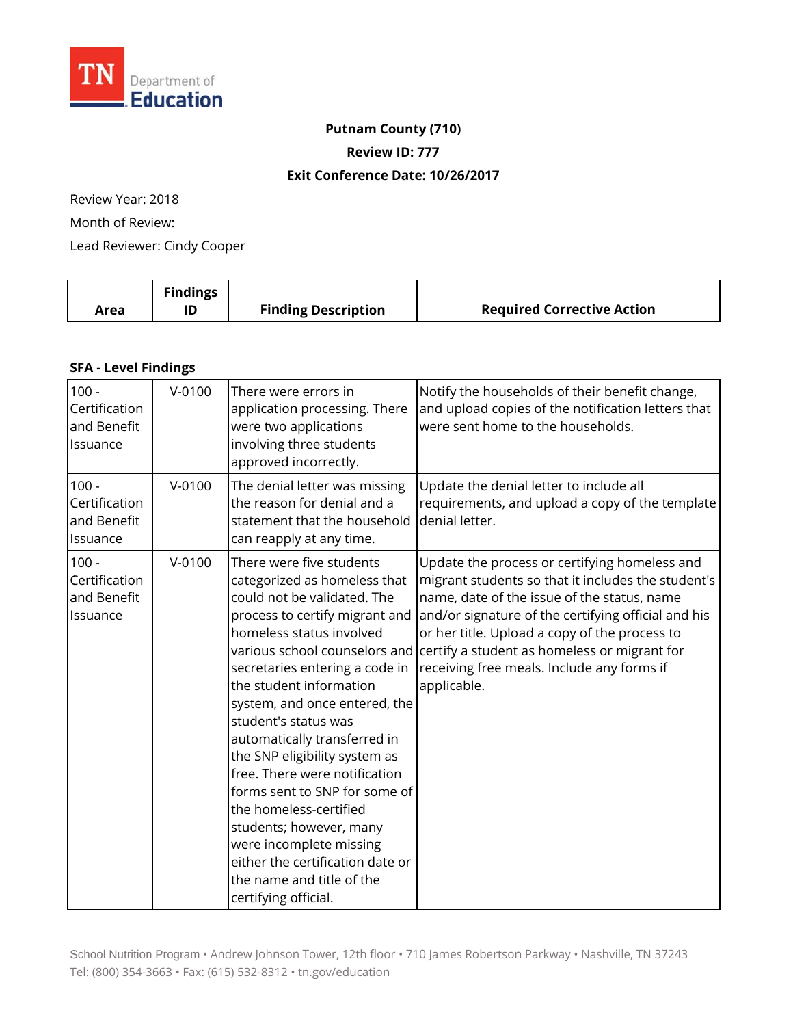

#### **Putnam County (710)**

**Review ID: 777**

#### **Exit Conference Date: 10 /26/2017**

Review Year: 2018 Month of Review: Lead Reviewer: Cindy Cooper

|      | <b>Findings</b> |                            |                                   |
|------|-----------------|----------------------------|-----------------------------------|
| Area | ID              | <b>Finding Description</b> | <b>Required Corrective Action</b> |

# **SFA - Level Findings**

| $100 -$<br>Certification<br>and Benefit<br>Issuance | $V - 0100$ | There were errors in<br>application processing. There<br>were two applications<br>involving three students<br>approved incorrectly.                                                                                                                                                                                                                                                                                                                                                                                                                                                     | Notify the households of their benefit change,<br>and upload copies of the notification letters that<br>were sent home to the households.                                                                                                                                                                                                                                                             |
|-----------------------------------------------------|------------|-----------------------------------------------------------------------------------------------------------------------------------------------------------------------------------------------------------------------------------------------------------------------------------------------------------------------------------------------------------------------------------------------------------------------------------------------------------------------------------------------------------------------------------------------------------------------------------------|-------------------------------------------------------------------------------------------------------------------------------------------------------------------------------------------------------------------------------------------------------------------------------------------------------------------------------------------------------------------------------------------------------|
| $100 -$<br>Certification<br>and Benefit<br>Issuance | $V - 0100$ | The denial letter was missing<br>the reason for denial and a<br>statement that the household<br>can reapply at any time.                                                                                                                                                                                                                                                                                                                                                                                                                                                                | Update the denial letter to include all<br>requirements, and upload a copy of the template<br>denial letter.                                                                                                                                                                                                                                                                                          |
| $100 -$<br>Certification<br>and Benefit<br>Issuance | $V - 0100$ | There were five students<br>categorized as homeless that<br>could not be validated. The<br>process to certify migrant and<br>homeless status involved<br>secretaries entering a code in<br>the student information<br>system, and once entered, the<br>student's status was<br>automatically transferred in<br>the SNP eligibility system as<br>free. There were notification<br>forms sent to SNP for some of<br>the homeless-certified<br>students; however, many<br>were incomplete missing<br>either the certification date or<br>the name and title of the<br>certifying official. | Update the process or certifying homeless and<br>migrant students so that it includes the student's<br>name, date of the issue of the status, name<br>and/or signature of the certifying official and his<br>or her title. Upload a copy of the process to<br>various school counselors and certify a student as homeless or migrant for<br>receiving free meals. Include any forms if<br>applicable. |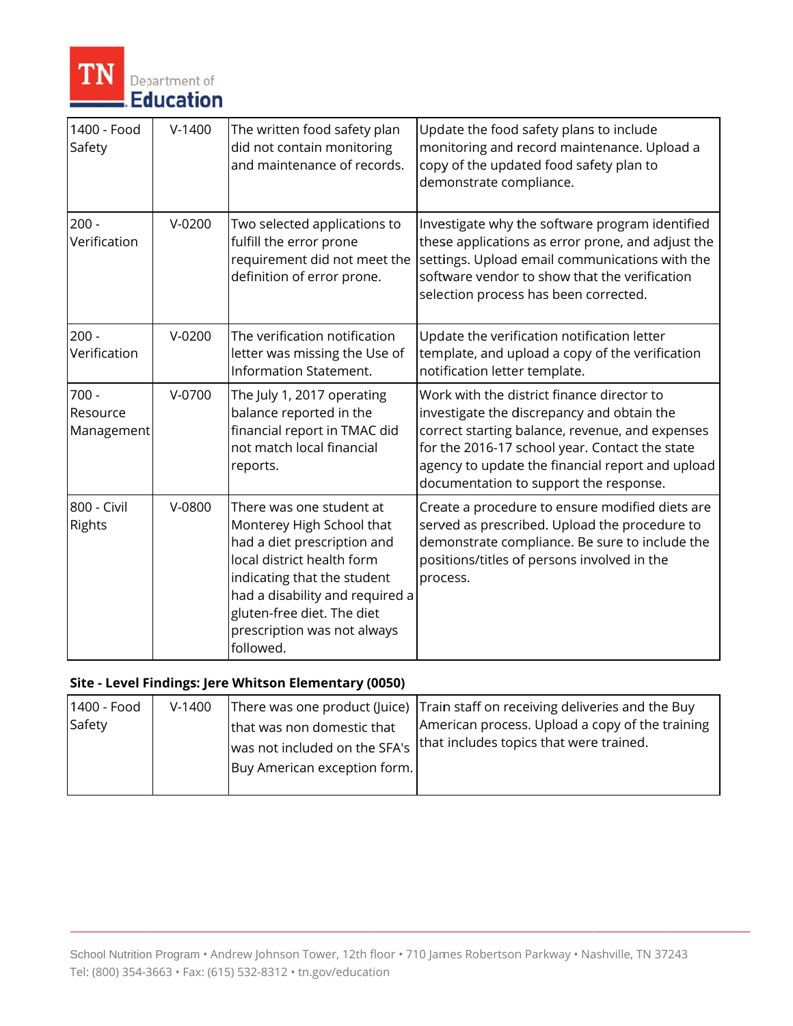

| 1400 - Food<br>Safety             | $V-1400$ | The written food safety plan<br>did not contain monitoring<br>and maintenance of records.                                                                                                                                                                      | Update the food safety plans to include<br>monitoring and record maintenance. Upload a<br>copy of the updated food safety plan to<br>demonstrate compliance.                                                                                                                                |
|-----------------------------------|----------|----------------------------------------------------------------------------------------------------------------------------------------------------------------------------------------------------------------------------------------------------------------|---------------------------------------------------------------------------------------------------------------------------------------------------------------------------------------------------------------------------------------------------------------------------------------------|
| $200 -$<br>Verification           | $V-0200$ | Two selected applications to<br>fulfill the error prone<br>requirement did not meet the<br>definition of error prone.                                                                                                                                          | Investigate why the software program identified<br>these applications as error prone, and adjust the<br>settings. Upload email communications with the<br>software vendor to show that the verification<br>selection process has been corrected.                                            |
| $200 -$<br>Verification           | $V-0200$ | The verification notification<br>letter was missing the Use of<br>Information Statement.                                                                                                                                                                       | Update the verification notification letter<br>template, and upload a copy of the verification<br>notification letter template.                                                                                                                                                             |
| $700 -$<br>Resource<br>Management | $V-0700$ | The July 1, 2017 operating<br>balance reported in the<br>financial report in TMAC did<br>not match local financial<br>reports.                                                                                                                                 | Work with the district finance director to<br>investigate the discrepancy and obtain the<br>correct starting balance, revenue, and expenses<br>for the 2016-17 school year. Contact the state<br>agency to update the financial report and upload<br>documentation to support the response. |
| 800 - Civil<br>Rights             | $V-0800$ | There was one student at<br>Monterey High School that<br>had a diet prescription and<br>local district health form<br>indicating that the student<br>had a disability and required a<br>gluten-free diet. The diet<br>prescription was not always<br>followed. | Create a procedure to ensure modified diets are<br>served as prescribed. Upload the procedure to<br>demonstrate compliance. Be sure to include the<br>positions/titles of persons involved in the<br>process.                                                                               |

## Site - Level Findings: Jere Whitson Elementary (0050)

| 1400 - Food | $V-1400$ |                               | There was one product (Juice) Train staff on receiving deliveries and the Buy |
|-------------|----------|-------------------------------|-------------------------------------------------------------------------------|
| Safety      |          | that was non domestic that    | American process. Upload a copy of the training                               |
|             |          | was not included on the SFA's | that includes topics that were trained.                                       |
|             |          | Buy American exception form.  |                                                                               |
|             |          |                               |                                                                               |